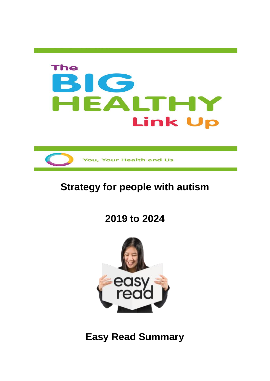



# **Strategy for people with autism**

**2019 to 2024** 



**Easy Read Summary**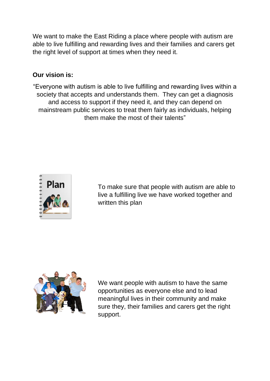We want to make the East Riding a place where people with autism are able to live fulfilling and rewarding lives and their families and carers get the right level of support at times when they need it.

#### **Our vision is:**

"Everyone with autism is able to live fulfilling and rewarding lives within a society that accepts and understands them. They can get a diagnosis and access to support if they need it, and they can depend on mainstream public services to treat them fairly as individuals, helping them make the most of their talents"



To make sure that people with autism are able to live a fulfilling live we have worked together and written this plan



We want people with autism to have the same opportunities as everyone else and to lead meaningful lives in their community and make sure they, their families and carers get the right support.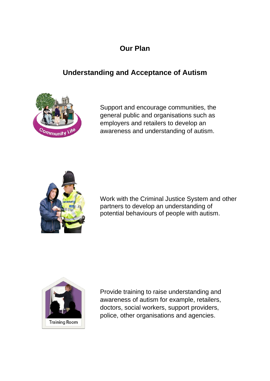# **Our Plan**

# **Understanding and Acceptance of Autism**



Support and encourage communities, the general public and organisations such as employers and retailers to develop an awareness and understanding of autism.



Work with the Criminal Justice System and other partners to develop an understanding of potential behaviours of people with autism.



Provide training to raise understanding and awareness of autism for example, retailers, doctors, social workers, support providers, police, other organisations and agencies.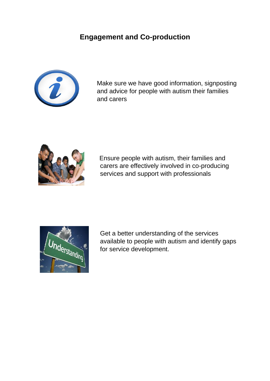### **Engagement and Co-production**



Make sure we have good information, signposting and advice for people with autism their families and carers



Ensure people with autism, their families and carers are effectively involved in co-producing services and support with professionals



Get a better understanding of the services available to people with autism and identify gaps for service development.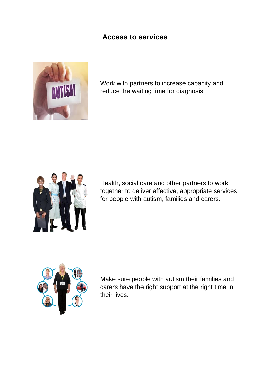#### **Access to services**



Work with partners to increase capacity and reduce the waiting time for diagnosis.



Health, social care and other partners to work together to deliver effective, appropriate services for people with autism, families and carers.



Make sure people with autism their families and carers have the right support at the right time in their lives.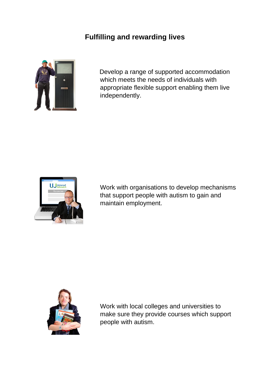### **Fulfilling and rewarding lives**



Develop a range of supported accommodation which meets the needs of individuals with appropriate flexible support enabling them live independently.



Work with organisations to develop mechanisms that support people with autism to gain and maintain employment.



Work with local colleges and universities to make sure they provide courses which support people with autism.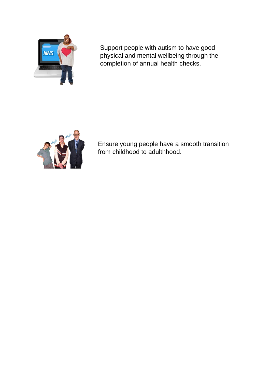

Support people with autism to have good physical and mental wellbeing through the completion of annual health checks.



Ensure young people have a smooth transition from childhood to adulthhood.